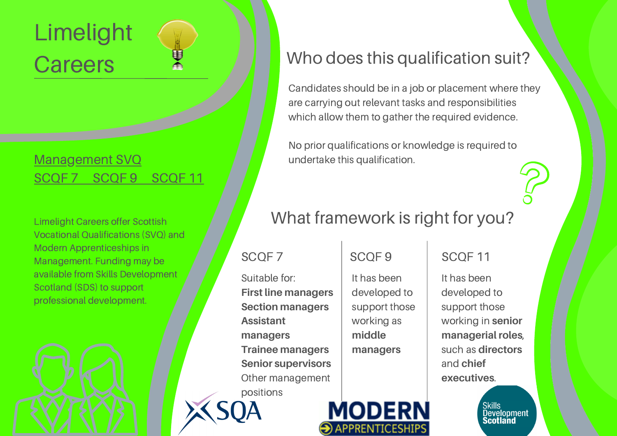# Limelight **Careers**

#### [Management](http://www.limelightcareers.co.uk/management/) SVQ [SCQF](http://www.limelightcareers.co.uk/management/) 7 SCQF [9](http://www.limelightcareers.co.uk/management/) SCQF 11

Limelight Careers offer Scottish Vocational Qualifications (SVQ) and Modern Apprenticeships in Management. Funding may be available from Skills Development Scotland (SDS) to support professional development.



Candidates should be in a job or placement where they are carrying out relevant tasks and responsibilities which allow them to gather the required evidence.

No prior qualifications or knowledge is required to undertake this qualification.

### What framework is right for you?

#### SCOF 7 SCOF 9

Suitable for: **First line managers Section managers Assistant managers Trainee managers Senior supervisors** Other management positions

It has been

**MODERN** 

 $\bigodot$  APPRENTICESHIPS

developed to support those working as **middle managers**

#### SCQF 11

It has been developed to support those working in **senior managerial roles**, such as **directors** and **chief executives**.

> Skills<br>Development Scotland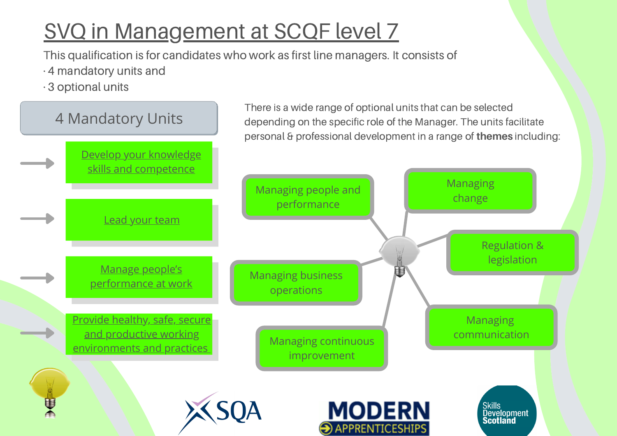## SVQ in [Management](http://www.limelightcareers.co.uk/wp-content/uploads/2020/04/Management-SCQF-7.pdf) at SCQF level 7

This qualification is for candidates who work as first line managers. It consists of

- · 4 mandatory units and
- · 3 optional units

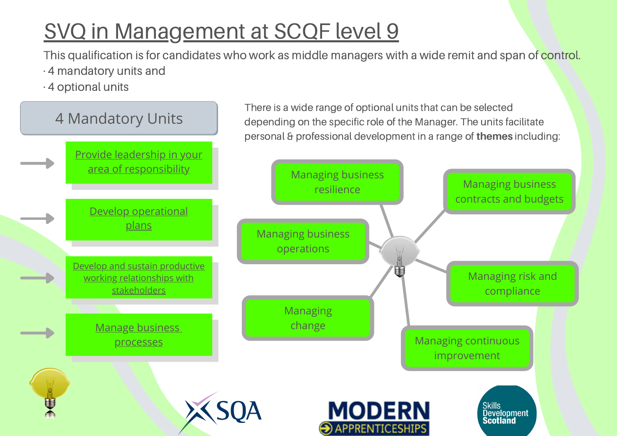## SVQ in [Management](http://www.limelightcareers.co.uk/wp-content/uploads/2020/04/Management-SCQF-9.pdf) at SCQF level 9

This qualification is for candidates who work as middle managers with a wide remit and span of control.

- · 4 mandatory units and
- · 4 optional units